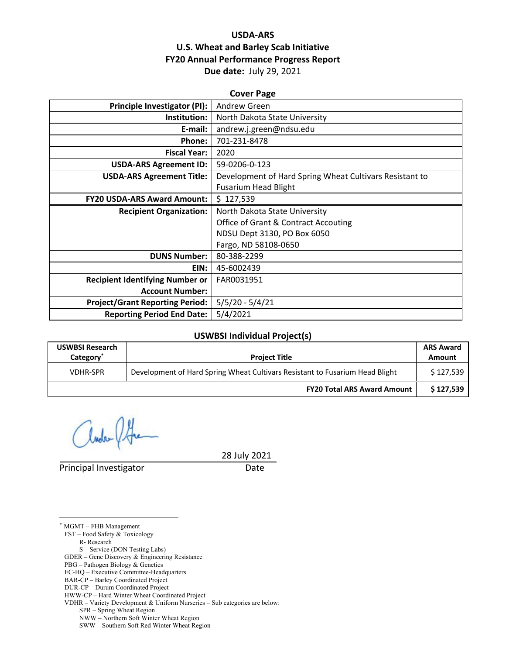#### **USDA‐ARS U.S. Wheat and Barley Scab Initiative FY20 Annual Performance Progress Report Due date:** July 29, 2021

| <b>Cover Page</b>                      |                                                         |  |  |  |
|----------------------------------------|---------------------------------------------------------|--|--|--|
| Principle Investigator (PI):           | Andrew Green                                            |  |  |  |
| Institution:                           | North Dakota State University                           |  |  |  |
| E-mail:                                | andrew.j.green@ndsu.edu                                 |  |  |  |
| Phone:                                 | 701-231-8478                                            |  |  |  |
| <b>Fiscal Year:</b>                    | 2020                                                    |  |  |  |
| <b>USDA-ARS Agreement ID:</b>          | 59-0206-0-123                                           |  |  |  |
| <b>USDA-ARS Agreement Title:</b>       | Development of Hard Spring Wheat Cultivars Resistant to |  |  |  |
|                                        | <b>Fusarium Head Blight</b>                             |  |  |  |
| <b>FY20 USDA-ARS Award Amount:</b>     | \$127,539                                               |  |  |  |
| <b>Recipient Organization:</b>         | North Dakota State University                           |  |  |  |
|                                        | Office of Grant & Contract Accouting                    |  |  |  |
|                                        | NDSU Dept 3130, PO Box 6050                             |  |  |  |
|                                        | Fargo, ND 58108-0650                                    |  |  |  |
| <b>DUNS Number:</b>                    | 80-388-2299                                             |  |  |  |
| EIN:                                   | 45-6002439                                              |  |  |  |
| <b>Recipient Identifying Number or</b> | FAR0031951                                              |  |  |  |
| <b>Account Number:</b>                 |                                                         |  |  |  |
| <b>Project/Grant Reporting Period:</b> | $5/5/20 - 5/4/21$                                       |  |  |  |
| <b>Reporting Period End Date:</b>      | 5/4/2021                                                |  |  |  |

#### **USWBSI Individual Project(s)**

| <b>USWBSI Research</b><br>Category <sup>*</sup> | <b>Project Title</b>                                                         | <b>ARS Award</b><br>Amount |
|-------------------------------------------------|------------------------------------------------------------------------------|----------------------------|
| <b>VDHR-SPR</b>                                 | Development of Hard Spring Wheat Cultivars Resistant to Fusarium Head Blight | \$127.539                  |
|                                                 | <b>FY20 Total ARS Award Amount</b>                                           | \$127,539                  |

Principal Investigator **Date** 

28 July 2021

\* MGMT – FHB Management

 $\overline{a}$ 

FST – Food Safety & Toxicology

 R- Research S – Service (DON Testing Labs)

GDER – Gene Discovery & Engineering Resistance

PBG – Pathogen Biology & Genetics

EC-HQ – Executive Committee-Headquarters

BAR-CP – Barley Coordinated Project

DUR-CP – Durum Coordinated Project

HWW-CP – Hard Winter Wheat Coordinated Project

VDHR – Variety Development & Uniform Nurseries – Sub categories are below:

SPR – Spring Wheat Region

NWW – Northern Soft Winter Wheat Region

SWW – Southern Soft Red Winter Wheat Region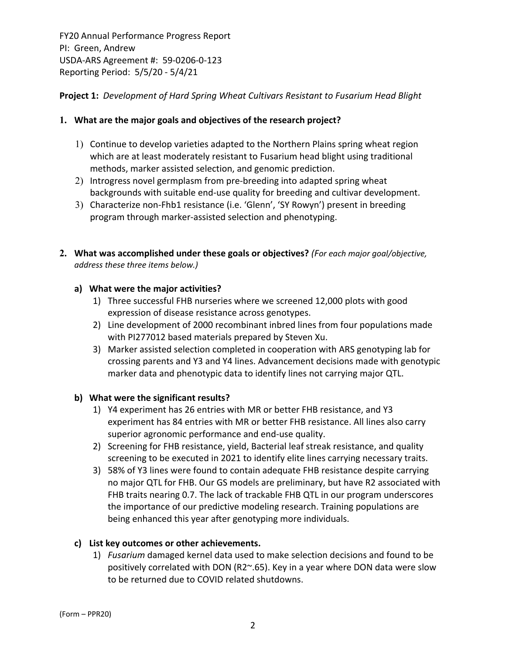**Project 1:** *Development of Hard Spring Wheat Cultivars Resistant to Fusarium Head Blight*

## **1. What are the major goals and objectives of the research project?**

- 1) Continue to develop varieties adapted to the Northern Plains spring wheat region which are at least moderately resistant to Fusarium head blight using traditional methods, marker assisted selection, and genomic prediction.
- 2) Introgress novel germplasm from pre-breeding into adapted spring wheat backgrounds with suitable end‐use quality for breeding and cultivar development.
- 3) Characterize non-Fhb1 resistance (i.e. 'Glenn', 'SY Rowyn') present in breeding program through marker‐assisted selection and phenotyping.
- **2. What was accomplished under these goals or objectives?** *(For each major goal/objective, address these three items below.)*

## **a) What were the major activities?**

- 1) Three successful FHB nurseries where we screened 12,000 plots with good expression of disease resistance across genotypes.
- 2) Line development of 2000 recombinant inbred lines from four populations made with PI277012 based materials prepared by Steven Xu.
- 3) Marker assisted selection completed in cooperation with ARS genotyping lab for crossing parents and Y3 and Y4 lines. Advancement decisions made with genotypic marker data and phenotypic data to identify lines not carrying major QTL.

#### **b) What were the significant results?**

- 1) Y4 experiment has 26 entries with MR or better FHB resistance, and Y3 experiment has 84 entries with MR or better FHB resistance. All lines also carry superior agronomic performance and end‐use quality.
- 2) Screening for FHB resistance, yield, Bacterial leaf streak resistance, and quality screening to be executed in 2021 to identify elite lines carrying necessary traits.
- 3) 58% of Y3 lines were found to contain adequate FHB resistance despite carrying no major QTL for FHB. Our GS models are preliminary, but have R2 associated with FHB traits nearing 0.7. The lack of trackable FHB QTL in our program underscores the importance of our predictive modeling research. Training populations are being enhanced this year after genotyping more individuals.

## **c) List key outcomes or other achievements.**

1) *Fusarium* damaged kernel data used to make selection decisions and found to be positively correlated with DON (R2~.65). Key in a year where DON data were slow to be returned due to COVID related shutdowns.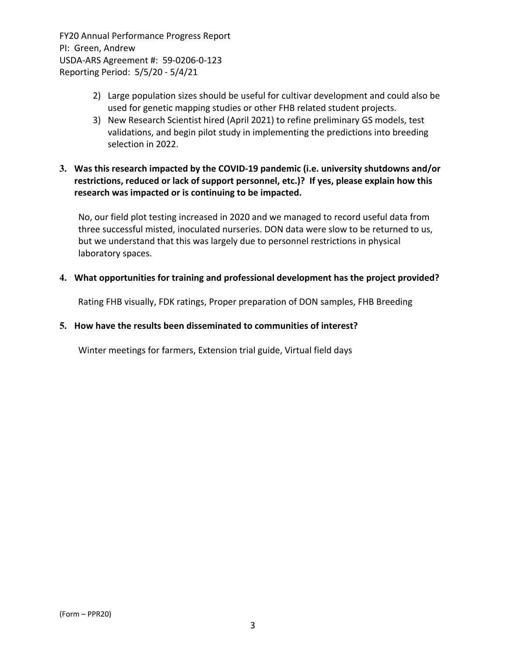- 2) Large population sizes should be useful for cultivar development and could also be used for genetic mapping studies or other FHB related student projects.
- 3) New Research Scientist hired (April 2021) to refine preliminary GS models, test validations, and begin pilot study in implementing the predictions into breeding selection in 2022.

## **3. Was this research impacted by the COVID‐19 pandemic (i.e. university shutdowns and/or restrictions, reduced or lack of support personnel, etc.)? If yes, please explain how this research was impacted or is continuing to be impacted.**

No, our field plot testing increased in 2020 and we managed to record useful data from three successful misted, inoculated nurseries. DON data were slow to be returned to us, but we understand that this was largely due to personnel restrictions in physical laboratory spaces.

#### **4. What opportunities for training and professional development has the project provided?**

Rating FHB visually, FDK ratings, Proper preparation of DON samples, FHB Breeding

#### **5. How have the results been disseminated to communities of interest?**

Winter meetings for farmers, Extension trial guide, Virtual field days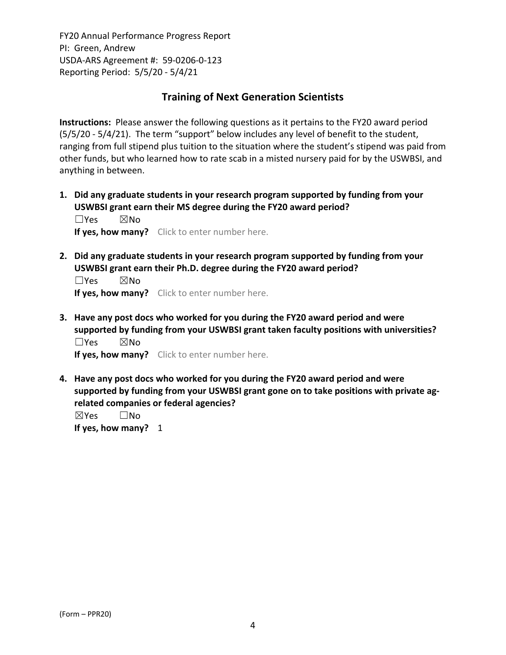# **Training of Next Generation Scientists**

**Instructions:** Please answer the following questions as it pertains to the FY20 award period (5/5/20 ‐ 5/4/21). The term "support" below includes any level of benefit to the student, ranging from full stipend plus tuition to the situation where the student's stipend was paid from other funds, but who learned how to rate scab in a misted nursery paid for by the USWBSI, and anything in between.

**1. Did any graduate students in your research program supported by funding from your USWBSI grant earn their MS degree during the FY20 award period?** ☐Yes ☒No

**If yes, how many?** Click to enter number here.

**2. Did any graduate students in your research program supported by funding from your USWBSI grant earn their Ph.D. degree during the FY20 award period?**

☐Yes ☒No **If yes, how many?** Click to enter number here.

**3. Have any post docs who worked for you during the FY20 award period and were supported by funding from your USWBSI grant taken faculty positions with universities?** ☐Yes ☒No

**If yes, how many?** Click to enter number here.

**4. Have any post docs who worked for you during the FY20 award period and were supported by funding from your USWBSI grant gone on to take positions with private ag‐ related companies or federal agencies?**

☒Yes ☐No **If yes, how many?** 1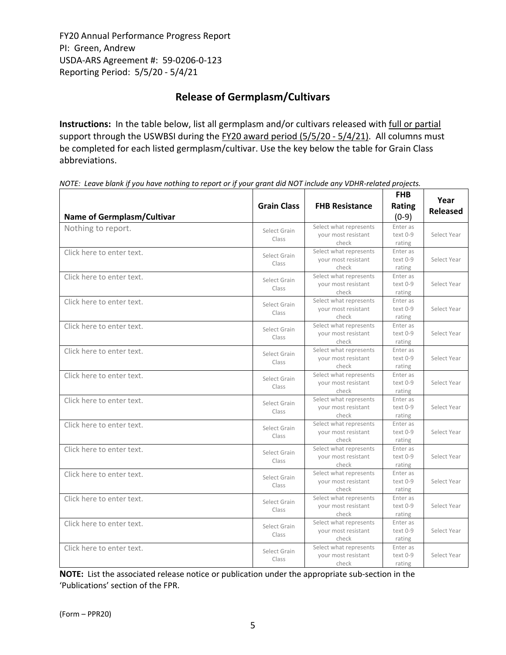# **Release of Germplasm/Cultivars**

**Instructions:** In the table below, list all germplasm and/or cultivars released with full or partial support through the USWBSI during the FY20 award period (5/5/20 - 5/4/21). All columns must be completed for each listed germplasm/cultivar. Use the key below the table for Grain Class abbreviations. 

NOTE: Leave blank if you have nothing to report or if your grant did NOT include any VDHR-related projects.

| <b>Name of Germplasm/Cultivar</b> | <b>Grain Class</b>    | <b>FHB Resistance</b>                                  | <b>FHB</b><br>Rating<br>$(0-9)$ | Year<br><b>Released</b> |
|-----------------------------------|-----------------------|--------------------------------------------------------|---------------------------------|-------------------------|
| Nothing to report.                | Select Grain<br>Class | Select what represents<br>your most resistant<br>check | Enter as<br>text 0-9<br>rating  | Select Year             |
| Click here to enter text.         | Select Grain<br>Class | Select what represents<br>your most resistant<br>check | Enter as<br>text 0-9<br>rating  | Select Year             |
| Click here to enter text.         | Select Grain<br>Class | Select what represents<br>your most resistant<br>check | Enter as<br>text 0-9<br>rating  | Select Year             |
| Click here to enter text.         | Select Grain<br>Class | Select what represents<br>your most resistant<br>check | Enter as<br>text 0-9<br>rating  | Select Year             |
| Click here to enter text.         | Select Grain<br>Class | Select what represents<br>your most resistant<br>check | Enter as<br>text 0-9<br>rating  | Select Year             |
| Click here to enter text.         | Select Grain<br>Class | Select what represents<br>your most resistant<br>check | Enter as<br>text 0-9<br>rating  | Select Year             |
| Click here to enter text.         | Select Grain<br>Class | Select what represents<br>your most resistant<br>check | Enter as<br>text 0-9<br>rating  | Select Year             |
| Click here to enter text.         | Select Grain<br>Class | Select what represents<br>your most resistant<br>check | Enter as<br>text 0-9<br>rating  | Select Year             |
| Click here to enter text.         | Select Grain<br>Class | Select what represents<br>your most resistant<br>check | Enter as<br>text 0-9<br>rating  | Select Year             |
| Click here to enter text.         | Select Grain<br>Class | Select what represents<br>your most resistant<br>check | Enter as<br>text 0-9<br>rating  | Select Year             |
| Click here to enter text.         | Select Grain<br>Class | Select what represents<br>your most resistant<br>check | Enter as<br>text 0-9<br>rating  | Select Year             |
| Click here to enter text.         | Select Grain<br>Class | Select what represents<br>your most resistant<br>check | Enter as<br>text 0-9<br>rating  | Select Year             |
| Click here to enter text.         | Select Grain<br>Class | Select what represents<br>your most resistant<br>check | Enter as<br>text 0-9<br>rating  | Select Year             |
| Click here to enter text.         | Select Grain<br>Class | Select what represents<br>your most resistant<br>check | Enter as<br>text 0-9<br>rating  | Select Year             |

**NOTE:** List the associated release notice or publication under the appropriate sub-section in the 'Publications' section of the FPR.